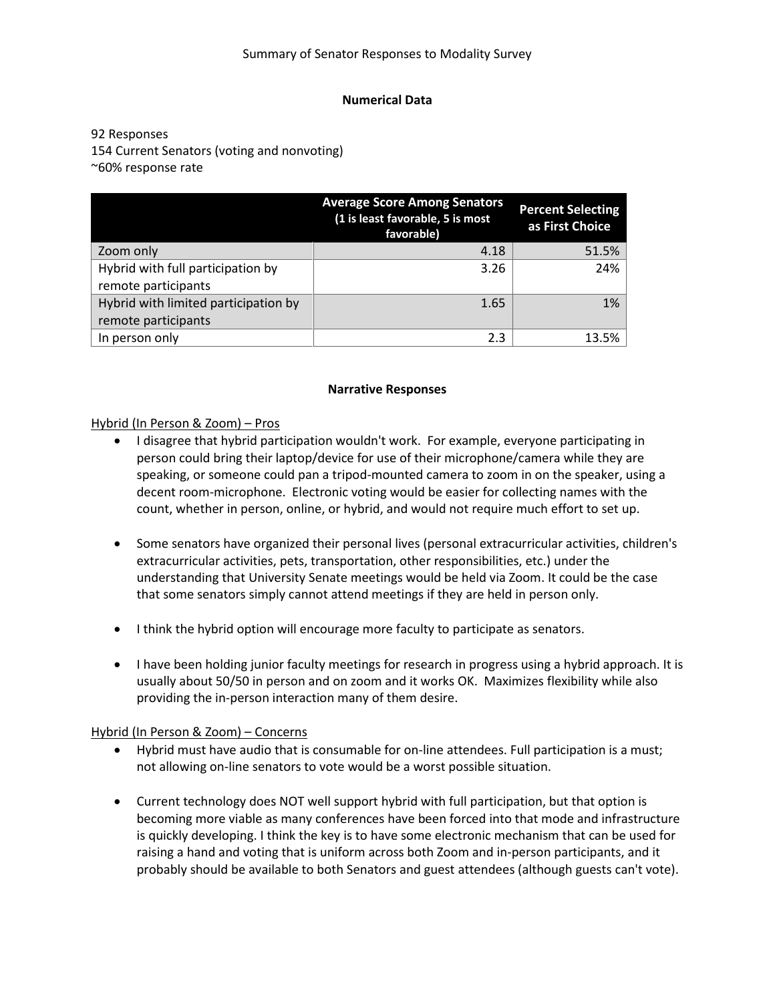## **Numerical Data**

92 Responses 154 Current Senators (voting and nonvoting) ~60% response rate

|                                      | <b>Average Score Among Senators</b><br>(1 is least favorable, 5 is most<br>favorable) | <b>Percent Selecting</b><br>as First Choice |
|--------------------------------------|---------------------------------------------------------------------------------------|---------------------------------------------|
| Zoom only                            | 4.18                                                                                  | 51.5%                                       |
| Hybrid with full participation by    | 3.26                                                                                  | 24%                                         |
| remote participants                  |                                                                                       |                                             |
| Hybrid with limited participation by | 1.65                                                                                  | 1%                                          |
| remote participants                  |                                                                                       |                                             |
| In person only                       | 2.3                                                                                   | 13.5%                                       |

### **Narrative Responses**

Hybrid (In Person & Zoom) – Pros

- I disagree that hybrid participation wouldn't work. For example, everyone participating in person could bring their laptop/device for use of their microphone/camera while they are speaking, or someone could pan a tripod-mounted camera to zoom in on the speaker, using a decent room-microphone. Electronic voting would be easier for collecting names with the count, whether in person, online, or hybrid, and would not require much effort to set up.
- Some senators have organized their personal lives (personal extracurricular activities, children's extracurricular activities, pets, transportation, other responsibilities, etc.) under the understanding that University Senate meetings would be held via Zoom. It could be the case that some senators simply cannot attend meetings if they are held in person only.
- I think the hybrid option will encourage more faculty to participate as senators.
- I have been holding junior faculty meetings for research in progress using a hybrid approach. It is usually about 50/50 in person and on zoom and it works OK. Maximizes flexibility while also providing the in-person interaction many of them desire.

# Hybrid (In Person & Zoom) – Concerns

- Hybrid must have audio that is consumable for on-line attendees. Full participation is a must; not allowing on-line senators to vote would be a worst possible situation.
- Current technology does NOT well support hybrid with full participation, but that option is becoming more viable as many conferences have been forced into that mode and infrastructure is quickly developing. I think the key is to have some electronic mechanism that can be used for raising a hand and voting that is uniform across both Zoom and in-person participants, and it probably should be available to both Senators and guest attendees (although guests can't vote).